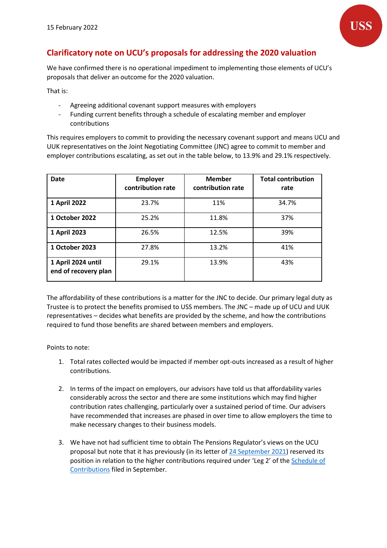

## **Clarificatory note on UCU's proposals for addressing the 2020 valuation**

We have confirmed there is no operational impediment to implementing those elements of UCU's proposals that deliver an outcome for the 2020 valuation.

That is:

- Agreeing additional covenant support measures with employers
- Funding current benefits through a schedule of escalating member and employer contributions

This requires employers to commit to providing the necessary covenant support and means UCU and UUK representatives on the Joint Negotiating Committee (JNC) agree to commit to member and employer contributions escalating, as set out in the table below, to 13.9% and 29.1% respectively.

| <b>Date</b>                                | <b>Employer</b><br>contribution rate | <b>Member</b><br>contribution rate | <b>Total contribution</b><br>rate |
|--------------------------------------------|--------------------------------------|------------------------------------|-----------------------------------|
| 1 April 2022                               | 23.7%                                | 11%                                | 34.7%                             |
| 1 October 2022                             | 25.2%                                | 11.8%                              | 37%                               |
| 1 April 2023                               | 26.5%                                | 12.5%                              | 39%                               |
| 1 October 2023                             | 27.8%                                | 13.2%                              | 41%                               |
| 1 April 2024 until<br>end of recovery plan | 29.1%                                | 13.9%                              | 43%                               |

The affordability of these contributions is a matter for the JNC to decide. Our primary legal duty as Trustee is to protect the benefits promised to USS members. The JNC – made up of UCU and UUK representatives – decides what benefits are provided by the scheme, and how the contributions required to fund those benefits are shared between members and employers.

Points to note:

- 1. Total rates collected would be impacted if member opt-outs increased as a result of higher contributions.
- 2. In terms of the impact on employers, our advisors have told us that affordability varies considerably across the sector and there are some institutions which may find higher contribution rates challenging, particularly over a sustained period of time. Our advisers have recommended that increases are phased in over time to allow employers the time to make necessary changes to their business models.
- 3. We have not had sufficient time to obtain The Pensions Regulator's views on the UCU proposal but note that it has previously (in its letter of [24 September 2021\)](https://www.uss.co.uk/-/media/project/ussmainsite/files/about-us/valuations_yearly/2020-valuation/tpr-letter-to-uss-240921.pdf?rev=50c17d40a915484bbaff1e42c2c5b23b&hash=1FD6C44FC657DC03F686CBC9A741F368) reserved its position in relation to the higher contributions required under 'Leg 2' of the **Schedule of** [Contributions](https://www.uss.co.uk/-/media/project/ussmainsite/files/about-us/schedule-of-contributions/schedule-of-contributions-2020.pdf?rev=f0abce1a44b64a8a8cd8f0d3c726ebde&hash=58B5BDF4E70CF352064D49C12F8939DF) filed in September.